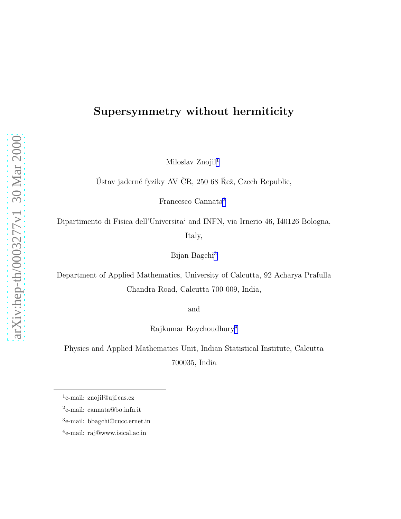## Supersymmetry without hermiticity

Miloslav Znojil<sup>1</sup>

Ústav jaderné fyziky AV ČR, 250 68 Řež, Czech Republic,

Francesco Cannata<sup>2</sup>

Dipartimento di Fisica dell'Universita' and INFN, via Irnerio 46, I40126 Bologna, Italy,

Bijan Bagchi<sup>3</sup>

Department of Applied Mathematics, University of Calcutta, 92 Acharya Prafulla Chandra Road, Calcutta 700 009, India,

and

Rajkumar Roychoudhury<sup>4</sup>

Physics and Applied Mathematics Unit, Indian Statistical Institute, Calcutta 700035, India

<sup>&</sup>lt;sup>1</sup>e-mail: znojil@ujf.cas.cz

<sup>2</sup> e-mail: cannata@bo.infn.it

<sup>3</sup> e-mail: bbagchi@cucc.ernet.in

<sup>4</sup> e-mail: raj@www.isical.ac.in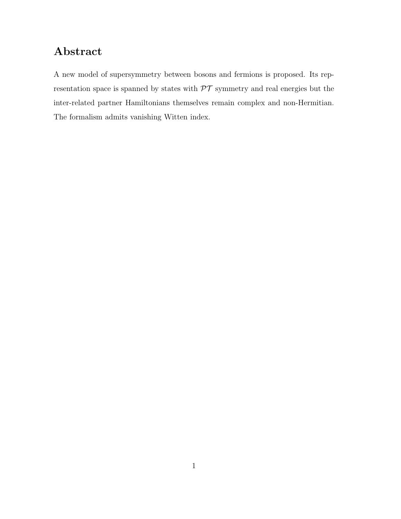# Abstract

A new model of supersymmetry between bosons and fermions is proposed. Its representation space is spanned by states with  $\mathcal{PT}$  symmetry and real energies but the inter-related partner Hamiltonians themselves remain complex and non-Hermitian. The formalism admits vanishing Witten index.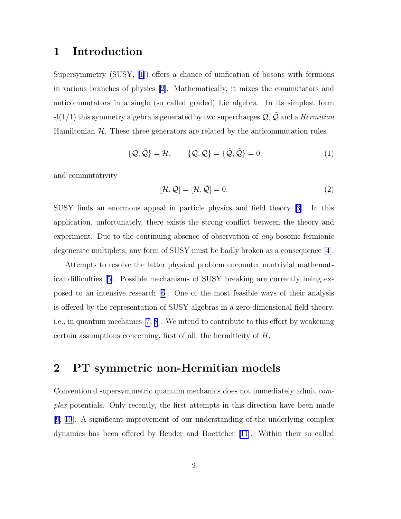### <span id="page-2-0"></span>1 Introduction

Supersymmetry (SUSY, [\[1](#page-11-0)]) offers a chance of unification of bosons with fermions in various branches of physics [\[2](#page-11-0)]. Mathematically, it mixes the commutators and anticommutators in a single (so called graded) Lie algebra. In its simplest form sl(1/1) this symmetry algebra is generated by two supercharges  $\mathcal{Q}, \tilde{\mathcal{Q}}$  and a *Hermitian* Hamiltonian  $H$ . These three generators are related by the anticommutation rules

$$
\{Q, \tilde{Q}\} = \mathcal{H}, \qquad \{Q, Q\} = \{\tilde{Q}, \tilde{Q}\} = 0 \tag{1}
$$

and commutativity

$$
[\mathcal{H}, \mathcal{Q}] = [\mathcal{H}, \tilde{\mathcal{Q}}] = 0.
$$
\n<sup>(2)</sup>

SUSY finds an enormous appeal in particle physics and field theory[[3\]](#page-11-0). In this application, unfortunately, there exists the strong conflict between the theory and experiment. Due to the continuing absence of observation of *any* bosonic-fermionic degenerate multiplets, any form of SUSY must be badly broken as a consequence[[4\]](#page-11-0).

Attempts to resolve the latter physical problem encounter nontrivial mathematical difficulties[[5\]](#page-11-0). Possible mechanisms of SUSY breaking are currently being exposed to an intensive research [\[6](#page-11-0)]. One of the most feasible ways of their analysis is offered by the representation of SUSY algebras in a zero-dimensional field theory, i.e., in quantum mechanics [\[7](#page-11-0), [8](#page-11-0)]. We intend to contribute to this effort by weakening certain assumptions concerning, first of all, the hermiticity of H.

## 2 PT symmetric non-Hermitian models

Conventional supersymmetric quantum mechanics does not immediately admit complex potentials. Only recently, the first attempts in this direction have been made [\[9](#page-11-0), [10](#page-11-0)]. A significant improvement of our understanding of the underlying complex dynamics has been offered by Bender and Boettcher [\[11\]](#page-12-0). Within their so called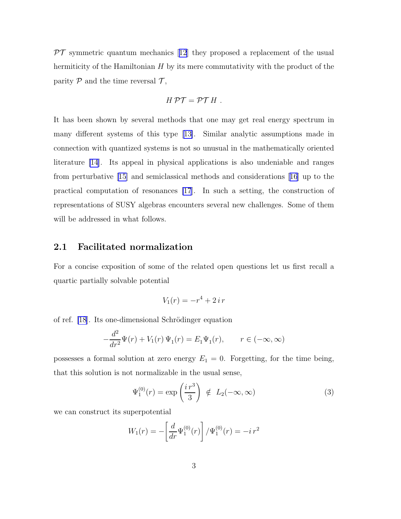<span id="page-3-0"></span> $\mathcal{PT}$ symmetric quantum mechanics [[12](#page-12-0)] they proposed a replacement of the usual hermiticity of the Hamiltonian  $H$  by its mere commutativity with the product of the parity  $P$  and the time reversal  $T$ ,

$$
H \mathcal{PT} = \mathcal{PT} H.
$$

It has been shown by several methods that one may get real energy spectrum in many different systems of this type[[13\]](#page-12-0). Similar analytic assumptions made in connection with quantized systems is not so unusual in the mathematically oriented literature [\[14](#page-12-0)]. Its appeal in physical applications is also undeniable and ranges from perturbative [\[15\]](#page-12-0) and semiclassical methods and considerations[[16](#page-12-0)] up to the practical computation of resonances [\[17](#page-12-0)]. In such a setting, the construction of representations of SUSY algebras encounters several new challenges. Some of them will be addressed in what follows.

### 2.1 Facilitated normalization

For a concise exposition of some of the related open questions let us first recall a quartic partially solvable potential

$$
V_1(r) = -r^4 + 2 i r
$$

of ref. [\[18](#page-12-0)]. Its one-dimensional Schrödinger equation

$$
-\frac{d^2}{dr^2}\Psi(r) + V_1(r)\Psi_1(r) = E_1\Psi_1(r), \qquad r \in (-\infty, \infty)
$$

possesses a formal solution at zero energy  $E_1 = 0$ . Forgetting, for the time being, that this solution is not normalizable in the usual sense,

$$
\Psi_1^{(0)}(r) = \exp\left(\frac{i\,r^3}{3}\right) \notin L_2(-\infty,\infty)
$$
\n(3)

we can construct its superpotential

$$
W_1(r) = -\left[\frac{d}{dr}\Psi_1^{(0)}(r)\right] / \Psi_1^{(0)}(r) = -i\,r^2
$$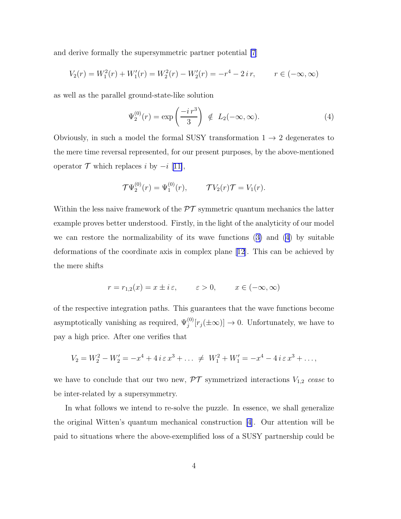and derive formally the supersymmetric partner potential [\[7](#page-11-0)]

$$
V_2(r) = W_1^2(r) + W_1'(r) = W_2^2(r) - W_2'(r) = -r^4 - 2ir, \qquad r \in (-\infty, \infty)
$$

as well as the parallel ground-state-like solution

$$
\Psi_2^{(0)}(r) = \exp\left(\frac{-i\,r^3}{3}\right) \notin L_2(-\infty,\infty). \tag{4}
$$

Obviously, in such a model the formal SUSY transformation  $1 \rightarrow 2$  degenerates to the mere time reversal represented, for our present purposes, by the above-mentioned operator  $\mathcal T$  which replaces i by  $-i$  [[11\]](#page-12-0),

$$
\mathcal{T}\Psi_2^{(0)}(r) = \Psi_1^{(0)}(r), \qquad \mathcal{T}V_2(r)\mathcal{T} = V_1(r).
$$

Within the less naive framework of the  $\mathcal{PT}$  symmetric quantum mechanics the latter example proves better understood. Firstly, in the light of the analyticity of our model we can restore the normalizability of its wave functions([3\)](#page-3-0) and (4) by suitable deformations of the coordinate axis in complex plane [\[12\]](#page-12-0). This can be achieved by the mere shifts

$$
r = r_{1,2}(x) = x \pm i\varepsilon, \qquad \varepsilon > 0, \qquad x \in (-\infty, \infty)
$$

of the respective integration paths. This guarantees that the wave functions become asymptotically vanishing as required,  $\Psi_j^{(0)}[r_j(\pm\infty)] \to 0$ . Unfortunately, we have to pay a high price. After one verifies that

$$
V_2 = W_2^2 - W_2' = -x^4 + 4 i \varepsilon x^3 + \dots \neq W_1^2 + W_1' = -x^4 - 4 i \varepsilon x^3 + \dots,
$$

we have to conclude that our two new,  $\mathcal{PT}$  symmetrized interactions  $V_{1,2}$  cease to be inter-related by a supersymmetry.

In what follows we intend to re-solve the puzzle. In essence, we shall generalize the original Witten's quantum mechanical construction [\[4\]](#page-11-0). Our attention will be paid to situations where the above-exemplified loss of a SUSY partnership could be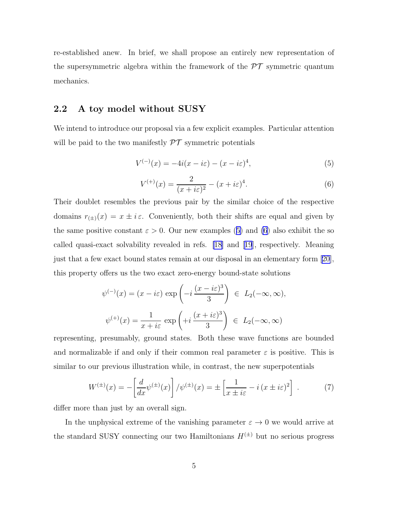<span id="page-5-0"></span>re-established anew. In brief, we shall propose an entirely new representation of the supersymmetric algebra within the framework of the  $\mathcal{PT}$  symmetric quantum mechanics.

### 2.2 A toy model without SUSY

We intend to introduce our proposal via a few explicit examples. Particular attention will be paid to the two manifestly  $\mathcal{PT}$  symmetric potentials

$$
V^{(-)}(x) = -4i(x - i\varepsilon) - (x - i\varepsilon)^4,
$$
\n(5)

$$
V^{(+)}(x) = \frac{2}{(x+i\varepsilon)^2} - (x+i\varepsilon)^4.
$$
 (6)

Their doublet resembles the previous pair by the similar choice of the respective domains  $r_{(\pm)}(x) = x \pm i\varepsilon$ . Conveniently, both their shifts are equal and given by the same positive constant  $\varepsilon > 0$ . Our new examples (5) and (6) also exhibit the so called quasi-exact solvability revealed in refs. [\[18\]](#page-12-0) and[[19](#page-12-0)], respectively. Meaning just that a few exact bound states remain at our disposal in an elementary form [\[20\]](#page-12-0), this property offers us the two exact zero-energy bound-state solutions

$$
\psi^{(-)}(x) = (x - i\varepsilon) \exp\left(-i\frac{(x - i\varepsilon)^3}{3}\right) \in L_2(-\infty, \infty),
$$
  

$$
\psi^{(+)}(x) = \frac{1}{x + i\varepsilon} \exp\left(+i\frac{(x + i\varepsilon)^3}{3}\right) \in L_2(-\infty, \infty)
$$

representing, presumably, ground states. Both these wave functions are bounded and normalizable if and only if their common real parameter  $\varepsilon$  is positive. This is similar to our previous illustration while, in contrast, the new superpotentials

$$
W^{(\pm)}(x) = -\left[\frac{d}{dx}\psi^{(\pm)}(x)\right]/\psi^{(\pm)}(x) = \pm\left[\frac{1}{x \pm i\varepsilon} - i(x \pm i\varepsilon)^2\right].\tag{7}
$$

differ more than just by an overall sign.

In the unphysical extreme of the vanishing parameter  $\varepsilon \to 0$  we would arrive at the standard SUSY connecting our two Hamiltonians  $H^{(\pm)}$  but no serious progress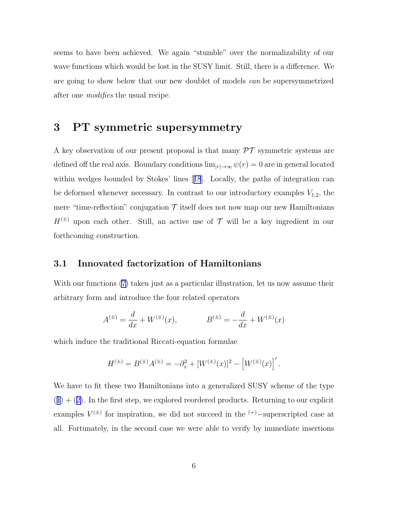seems to have been achieved. We again "stumble" over the normalizability of our wave functions which would be lost in the SUSY limit. Still, there is a difference. We are going to show below that our new doublet of models can be supersymmetrized after one *modifies* the usual recipe.

## 3 PT symmetric supersymmetry

A key observation of our present proposal is that many  $\mathcal{PT}$  symmetric systems are defined off the real axis. Boundary conditions  $\lim_{|r|\to\infty} \psi(r) = 0$  are in general located within wedges bounded by Stokes' lines[[18](#page-12-0)]. Locally, the paths of integration can be deformed whenever necessary. In contrast to our introductory examples  $V_{1,2}$ , the mere "time-reflection" conjugation  $\mathcal T$  itself does not now map our new Hamiltonians  $H^{(\pm)}$  upon each other. Still, an active use of  $\mathcal T$  will be a key ingredient in our forthcoming construction.

#### 3.1 Innovated factorization of Hamiltonians

With our functions [\(7\)](#page-5-0) taken just as a particular illustration, let us now assume their arbitrary form and introduce the four related operators

$$
A^{(\pm)} = \frac{d}{dx} + W^{(\pm)}(x), \qquad B^{(\pm)} = -\frac{d}{dx} + W^{(\pm)}(x)
$$

which induce the traditional Riccati-equation formulae

$$
H^{(\pm)} = B^{(\pm)} A^{(\pm)} = -\partial_x^2 + [W^{(\pm)}(x)]^2 - [W^{(\pm)}(x)]'.
$$

We have to fit these two Hamiltonians into a generalized SUSY scheme of the type  $(1) + (2)$  $(1) + (2)$  $(1) + (2)$  $(1) + (2)$  $(1) + (2)$  $(1) + (2)$ . In the first step, we explored reordered products. Returning to our explicit examples  $V^{(\pm)}$  for inspiration, we did not succeed in the  $(+)$ -superscripted case at all. Fortunately, in the second case we were able to verify by immediate insertions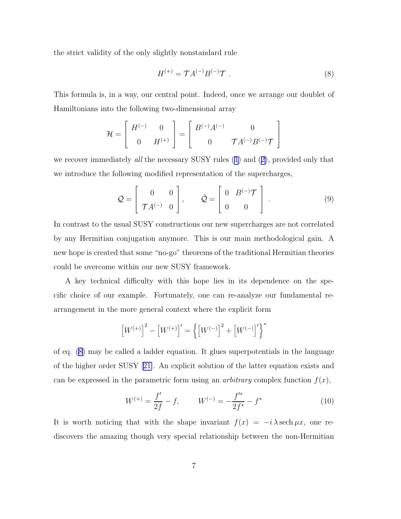<span id="page-7-0"></span>the strict validity of the only slightly nonstandard rule

$$
H^{(+)} = \mathcal{T}A^{(-)}B^{(-)}\mathcal{T} \tag{8}
$$

This formula is, in a way, our central point. Indeed, once we arrange our doublet of Hamiltonians into the following two-dimensional array

$$
\mathcal{H} = \left[ \begin{array}{cc} H^{(-)} & 0 \\ 0 & H^{(+)} \end{array} \right] = \left[ \begin{array}{cc} B^{(-)}A^{(-)} & 0 \\ 0 & \mathcal{T}A^{(-)}B^{(-)}\mathcal{T} \end{array} \right]
$$

werecover immediately all the necessary SUSY rules ([1\)](#page-2-0) and ([2\)](#page-2-0), provided only that we introduce the following modified representation of the supercharges,

$$
\mathcal{Q} = \begin{bmatrix} 0 & 0 \\ \mathcal{T}A^{(-)} & 0 \end{bmatrix}, \qquad \tilde{\mathcal{Q}} = \begin{bmatrix} 0 & B^{(-)}\mathcal{T} \\ 0 & 0 \end{bmatrix} . \tag{9}
$$

In contrast to the usual SUSY constructions our new supercharges are not correlated by any Hermitian conjugation anymore. This is our main methodological gain. A new hope is created that some "no-go" theorems of the traditional Hermitian theories could be overcome within our new SUSY framework.

A key technical difficulty with this hope lies in its dependence on the specific choice of our example. Fortunately, one can re-analyze our fundamental rearrangement in the more general context where the explicit form

$$
\left[W^{(+)}\right]^2 - \left[W^{(+)}\right]' = \left\{\left[W^{(-)}\right]^2 + \left[W^{(-)}\right]'\right\}^*
$$

of eq. (8) may be called a ladder equation. It glues superpotentials in the language of the higher order SUSY[[21\]](#page-13-0). An explicit solution of the latter equation exists and can be expressed in the parametric form using an *arbitrary* complex function  $f(x)$ ,

$$
W^{(+)} = \frac{f'}{2f} - f, \qquad W^{(-)} = -\frac{f'^{*}}{2f^{*}} - f^{*} \tag{10}
$$

It is worth noticing that with the shape invariant  $f(x) = -i \lambda \operatorname{sech} \mu x$ , one rediscovers the amazing though very special relationship between the non-Hermitian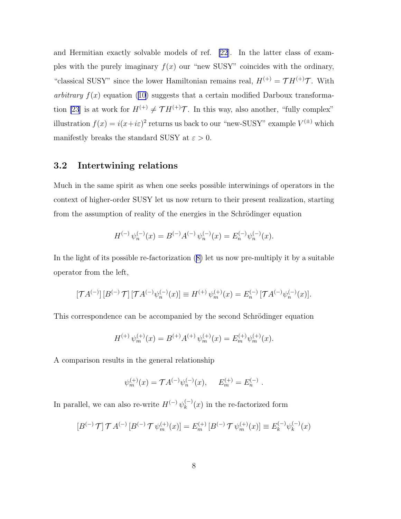and Hermitian exactly solvable models of ref. [\[22](#page-13-0)]. In the latter class of examples with the purely imaginary  $f(x)$  our "new SUSY" coincides with the ordinary, "classical SUSY" since the lower Hamiltonian remains real,  $H^{(+)} = \mathcal{T}H^{(+)}\mathcal{T}$ . With arbitrary  $f(x)$  equation [\(10\)](#page-7-0) suggests that a certain modified Darboux transforma-tion [\[23](#page-13-0)] is at work for  $H^{(+)} \neq \mathcal{T} H^{(+)}\mathcal{T}$ . In this way, also another, "fully complex" illustration  $f(x) = i(x + i\varepsilon)^2$  returns us back to our "new-SUSY" example  $V^{(\pm)}$  which manifestly breaks the standard SUSY at  $\varepsilon > 0$ .

#### 3.2 Intertwining relations

Much in the same spirit as when one seeks possible interwinings of operators in the context of higher-order SUSY let us now return to their present realization, starting from the assumption of reality of the energies in the Schrödinger equation

$$
H^{(-)}\psi_n^{(-)}(x) = B^{(-)}A^{(-)}\psi_n^{(-)}(x) = E_n^{(-)}\psi_n^{(-)}(x).
$$

In the light of its possible re-factorization([8\)](#page-7-0) let us now pre-multiply it by a suitable operator from the left,

$$
[\mathcal{T} A^{(-)}] [B^{(-)} \mathcal{T}] [\mathcal{T} A^{(-)} \psi_n^{(-)}(x)] \equiv H^{(+)} \psi_m^{(+)}(x) = E_n^{(-)} [\mathcal{T} A^{(-)} \psi_n^{(-)}(x)].
$$

This correspondence can be accompanied by the second Schrödinger equation

$$
H^{(+)}\psi_m^{(+)}(x) = B^{(+)}A^{(+)}\psi_m^{(+)}(x) = E_m^{(+)}\psi_m^{(+)}(x).
$$

A comparison results in the general relationship

$$
\psi_m^{(+)}(x) = \mathcal{T}A^{(-)}\psi_n^{(-)}(x), \quad E_m^{(+)} = E_n^{(-)}.
$$

In parallel, we can also re-write  $H^{(-)}\psi_k^{(-)}$  $\binom{(-)}{k}(x)$  in the re-factorized form

$$
[B^{(-)}\mathcal{T}]\mathcal{T}A^{(-)}[B^{(-)}\mathcal{T}\psi_m^{(+)}(x)] = E_m^{(+)}[B^{(-)}\mathcal{T}\psi_m^{(+)}(x)] \equiv E_k^{(-)}\psi_k^{(-)}(x)
$$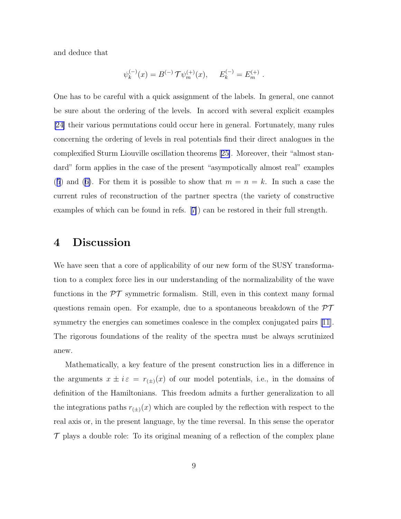and deduce that

$$
\psi_k^{(-)}(x) = B^{(-)} \mathcal{T} \psi_m^{(+)}(x), \quad E_k^{(-)} = E_m^{(+)}.
$$

One has to be careful with a quick assignment of the labels. In general, one cannot be sure about the ordering of the levels. In accord with several explicit examples [\[24\]](#page-13-0) their various permutations could occur here in general. Fortunately, many rules concerning the ordering of levels in real potentials find their direct analogues in the complexified Sturm Liouville oscillation theorems[[25\]](#page-13-0). Moreover, their "almost standard" form applies in the case of the present "asympotically almost real" examples ([5](#page-5-0))and ([6\)](#page-5-0). For them it is possible to show that  $m = n = k$ . In such a case the current rules of reconstruction of the partner spectra (the variety of constructive examples of which can be found in refs.[[7\]](#page-11-0)) can be restored in their full strength.

## 4 Discussion

We have seen that a core of applicability of our new form of the SUSY transformation to a complex force lies in our understanding of the normalizability of the wave functions in the  $\mathcal{PT}$  symmetric formalism. Still, even in this context many formal questions remain open. For example, due to a spontaneous breakdown of the  $\mathcal{PT}$ symmetry the energies can sometimes coalesce in the complex conjugated pairs [\[11\]](#page-12-0). The rigorous foundations of the reality of the spectra must be always scrutinized anew.

Mathematically, a key feature of the present construction lies in a difference in the arguments  $x \pm i\varepsilon = r_{(\pm)}(x)$  of our model potentials, i.e., in the domains of definition of the Hamiltonians. This freedom admits a further generalization to all the integrations paths  $r_{(\pm)}(x)$  which are coupled by the reflection with respect to the real axis or, in the present language, by the time reversal. In this sense the operator  $\mathcal T$  plays a double role: To its original meaning of a reflection of the complex plane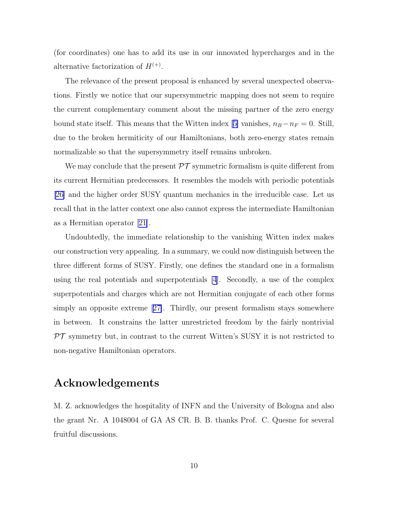(for coordinates) one has to add its use in our innovated hypercharges and in the alternative factorization of  $H^{(+)}$ .

The relevance of the present proposal is enhanced by several unexpected observations. Firstly we notice that our supersymmetric mapping does not seem to require the current complementary comment about the missing partner of the zero energy boundstate itself. This means that the Witten index [[5\]](#page-11-0) vanishes,  $n_B - n_F = 0$ . Still, due to the broken hermiticity of our Hamiltonians, both zero-energy states remain normalizable so that the supersymmetry itself remains unbroken.

We may conclude that the present  $\mathcal{PT}$  symmetric formalism is quite different from its current Hermitian predecessors. It resembles the models with periodic potentials [\[26\]](#page-13-0) and the higher order SUSY quantum mechanics in the irreducible case. Let us recall that in the latter context one also cannot express the intermediate Hamiltonian as a Hermitian operator [\[21\]](#page-13-0).

Undoubtedly, the immediate relationship to the vanishing Witten index makes our construction very appealing. In a summary, we could now distinguish between the three different forms of SUSY. Firstly, one defines the standard one in a formalism using the real potentials and superpotentials [\[4](#page-11-0)]. Secondly, a use of the complex superpotentials and charges which are not Hermitian conjugate of each other forms simply an opposite extreme[[27\]](#page-13-0). Thirdly, our present formalism stays somewhere in between. It constrains the latter unrestricted freedom by the fairly nontrivial  $\mathcal{PT}$  symmetry but, in contrast to the current Witten's SUSY it is not restricted to non-negative Hamiltonian operators.

## Acknowledgements

M. Z. acknowledges the hospitality of INFN and the University of Bologna and also the grant Nr. A 1048004 of GA AS CR. B. B. thanks Prof. C. Quesne for several fruitful discussions.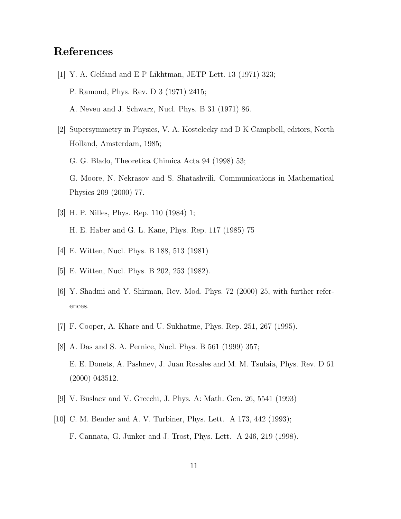## <span id="page-11-0"></span>References

- [1] Y. A. Gelfand and E P Likhtman, JETP Lett. 13 (1971) 323; P. Ramond, Phys. Rev. D 3 (1971) 2415; A. Neveu and J. Schwarz, Nucl. Phys. B 31 (1971) 86.
- [2] Supersymmetry in Physics, V. A. Kostelecky and D K Campbell, editors, North Holland, Amsterdam, 1985; G. G. Blado, Theoretica Chimica Acta 94 (1998) 53; G. Moore, N. Nekrasov and S. Shatashvili, Communications in Mathematical Physics 209 (2000) 77.
- [3] H. P. Nilles, Phys. Rep. 110 (1984) 1; H. E. Haber and G. L. Kane, Phys. Rep. 117 (1985) 75
- [4] E. Witten, Nucl. Phys. B 188, 513 (1981)
- [5] E. Witten, Nucl. Phys. B 202, 253 (1982).
- [6] Y. Shadmi and Y. Shirman, Rev. Mod. Phys. 72 (2000) 25, with further references.
- [7] F. Cooper, A. Khare and U. Sukhatme, Phys. Rep. 251, 267 (1995).
- [8] A. Das and S. A. Pernice, Nucl. Phys. B 561 (1999) 357; E. E. Donets, A. Pashnev, J. Juan Rosales and M. M. Tsulaia, Phys. Rev. D 61 (2000) 043512.
- [9] V. Buslaev and V. Grecchi, J. Phys. A: Math. Gen. 26, 5541 (1993)
- [10] C. M. Bender and A. V. Turbiner, Phys. Lett. A 173, 442 (1993); F. Cannata, G. Junker and J. Trost, Phys. Lett. A 246, 219 (1998).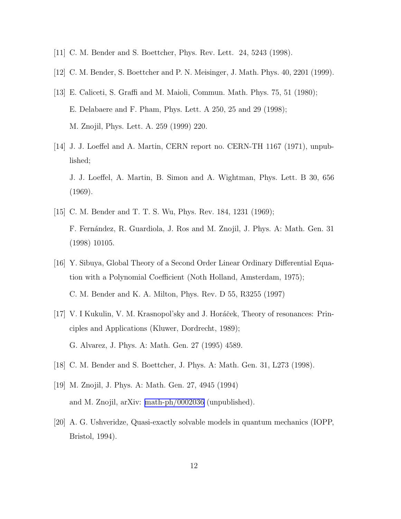- <span id="page-12-0"></span>[11] C. M. Bender and S. Boettcher, Phys. Rev. Lett. 24, 5243 (1998).
- [12] C. M. Bender, S. Boettcher and P. N. Meisinger, J. Math. Phys. 40, 2201 (1999).
- [13] E. Caliceti, S. Graffi and M. Maioli, Commun. Math. Phys. 75, 51 (1980); E. Delabaere and F. Pham, Phys. Lett. A 250, 25 and 29 (1998); M. Znojil, Phys. Lett. A. 259 (1999) 220.
- [14] J. J. Loeffel and A. Martin, CERN report no. CERN-TH 1167 (1971), unpublished; J. J. Loeffel, A. Martin, B. Simon and A. Wightman, Phys. Lett. B 30, 656 (1969).
- [15] C. M. Bender and T. T. S. Wu, Phys. Rev. 184, 1231 (1969); F. Fernández, R. Guardiola, J. Ros and M. Znojil, J. Phys. A: Math. Gen. 31 (1998) 10105.
- [16] Y. Sibuya, Global Theory of a Second Order Linear Ordinary Differential Equation with a Polynomial Coefficient (Noth Holland, Amsterdam, 1975); C. M. Bender and K. A. Milton, Phys. Rev. D 55, R3255 (1997)
- [17] V. I Kukulin, V. M. Krasnopol'sky and J. Horáček, Theory of resonances: Principles and Applications (Kluwer, Dordrecht, 1989); G. Alvarez, J. Phys. A: Math. Gen. 27 (1995) 4589.
- [18] C. M. Bender and S. Boettcher, J. Phys. A: Math. Gen. 31, L273 (1998).
- [19] M. Znojil, J. Phys. A: Math. Gen. 27, 4945 (1994) and M. Znojil, arXiv: [math-ph/0002036](http://arxiv.org/abs/math-ph/0002036) (unpublished).
- [20] A. G. Ushveridze, Quasi-exactly solvable models in quantum mechanics (IOPP, Bristol, 1994).